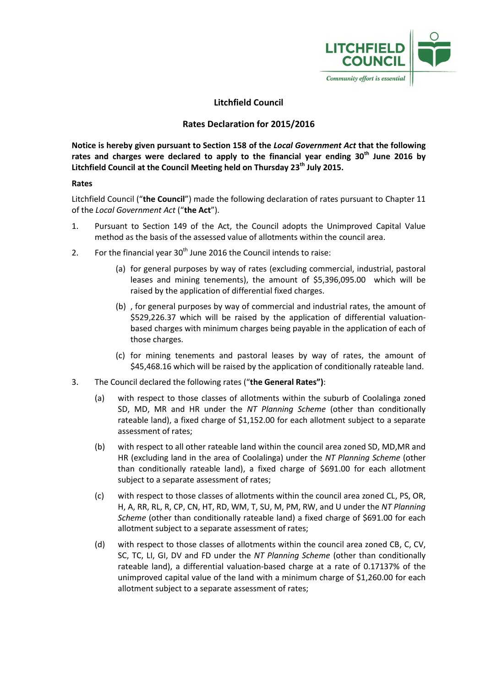

# **Litchfield Council**

## **Rates Declaration for 2015/2016**

**Notice is hereby given pursuant to Section 158 of the** *Local Government Act* **that the following rates and charges were declared to apply to the financial year ending 30th June 2016 by Litchfield Council at the Council Meeting held on Thursday 23th July 2015.**

## **Rates**

Litchfield Council ("**the Council**") made the following declaration of rates pursuant to Chapter 11 of the *Local Government Act* ("**the Act**").

- 1. Pursuant to Section 149 of the Act, the Council adopts the Unimproved Capital Value method as the basis of the assessed value of allotments within the council area.
- 2. For the financial year  $30<sup>th</sup>$  June 2016 the Council intends to raise:
	- (a) for general purposes by way of rates (excluding commercial, industrial, pastoral leases and mining tenements), the amount of \$5,396,095.00 which will be raised by the application of differential fixed charges.
	- (b) , for general purposes by way of commercial and industrial rates, the amount of \$529,226.37 which will be raised by the application of differential valuationbased charges with minimum charges being payable in the application of each of those charges.
	- (c) for mining tenements and pastoral leases by way of rates, the amount of \$45,468.16 which will be raised by the application of conditionally rateable land.
- 3. The Council declared the following rates ("**the General Rates")**:
	- (a) with respect to those classes of allotments within the suburb of Coolalinga zoned SD, MD, MR and HR under the *NT Planning Scheme* (other than conditionally rateable land), a fixed charge of \$1,152.00 for each allotment subject to a separate assessment of rates;
	- (b) with respect to all other rateable land within the council area zoned SD, MD,MR and HR (excluding land in the area of Coolalinga) under the *NT Planning Scheme* (other than conditionally rateable land), a fixed charge of \$691.00 for each allotment subject to a separate assessment of rates;
	- (c) with respect to those classes of allotments within the council area zoned CL, PS, OR, H, A, RR, RL, R, CP, CN, HT, RD, WM, T, SU, M, PM, RW, and U under the *NT Planning Scheme* (other than conditionally rateable land) a fixed charge of \$691.00 for each allotment subject to a separate assessment of rates;
	- (d) with respect to those classes of allotments within the council area zoned CB, C, CV, SC, TC, LI, GI, DV and FD under the *NT Planning Scheme* (other than conditionally rateable land), a differential valuation-based charge at a rate of 0.17137% of the unimproved capital value of the land with a minimum charge of \$1,260.00 for each allotment subject to a separate assessment of rates;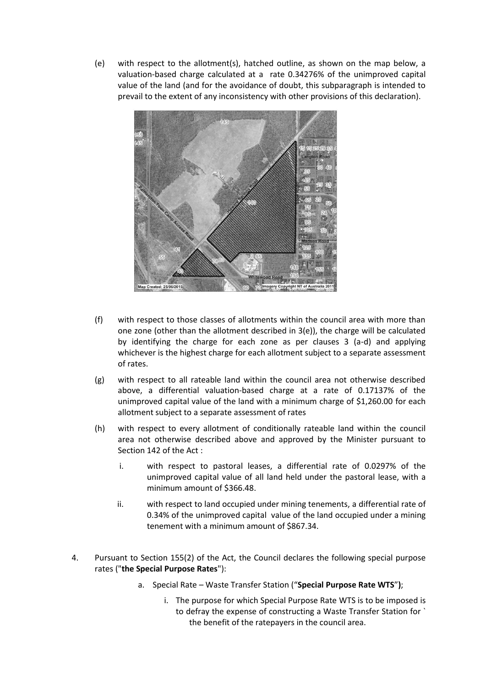(e) with respect to the allotment(s), hatched outline, as shown on the map below, a valuation-based charge calculated at a rate 0.34276% of the unimproved capital value of the land (and for the avoidance of doubt, this subparagraph is intended to prevail to the extent of any inconsistency with other provisions of this declaration).



- (f) with respect to those classes of allotments within the council area with more than one zone (other than the allotment described in 3(e)), the charge will be calculated by identifying the charge for each zone as per clauses 3 (a-d) and applying whichever is the highest charge for each allotment subject to a separate assessment of rates.
- (g) with respect to all rateable land within the council area not otherwise described above, a differential valuation-based charge at a rate of 0.17137% of the unimproved capital value of the land with a minimum charge of \$1,260.00 for each allotment subject to a separate assessment of rates
- (h) with respect to every allotment of conditionally rateable land within the council area not otherwise described above and approved by the Minister pursuant to Section 142 of the Act :
	- i. with respect to pastoral leases, a differential rate of 0.0297% of the unimproved capital value of all land held under the pastoral lease, with a minimum amount of \$366.48.
	- ii. with respect to land occupied under mining tenements, a differential rate of 0.34% of the unimproved capital value of the land occupied under a mining tenement with a minimum amount of \$867.34.
- 4. Pursuant to Section 155(2) of the Act, the Council declares the following special purpose rates ("**the Special Purpose Rates**"):
	- a. Special Rate Waste Transfer Station ("**Special Purpose Rate WTS**"**)**;
		- i. The purpose for which Special Purpose Rate WTS is to be imposed is to defray the expense of constructing a Waste Transfer Station for ` the benefit of the ratepayers in the council area.